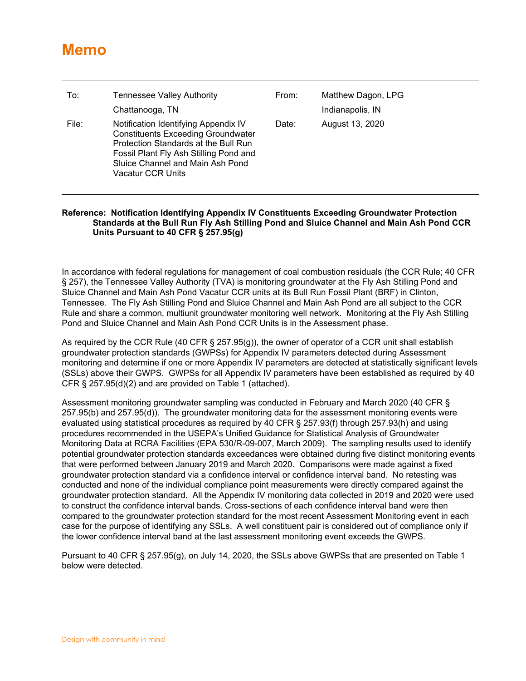## **Memo**

| To:   | <b>Tennessee Valley Authority</b>                                                                                                                                                                                            | From: | Matthew Dagon, LPG |
|-------|------------------------------------------------------------------------------------------------------------------------------------------------------------------------------------------------------------------------------|-------|--------------------|
|       | Chattanooga, TN                                                                                                                                                                                                              |       | Indianapolis, IN   |
| File: | Notification Identifying Appendix IV<br><b>Constituents Exceeding Groundwater</b><br>Protection Standards at the Bull Run<br>Fossil Plant Fly Ash Stilling Pond and<br>Sluice Channel and Main Ash Pond<br>Vacatur CCR Units | Date: | August 13, 2020    |

## **Reference: Notification Identifying Appendix IV Constituents Exceeding Groundwater Protection Standards at the Bull Run Fly Ash Stilling Pond and Sluice Channel and Main Ash Pond CCR Units Pursuant to 40 CFR § 257.95(g)**

In accordance with federal regulations for management of coal combustion residuals (the CCR Rule; 40 CFR § 257), the Tennessee Valley Authority (TVA) is monitoring groundwater at the Fly Ash Stilling Pond and Sluice Channel and Main Ash Pond Vacatur CCR units at its Bull Run Fossil Plant (BRF) in Clinton, Tennessee. The Fly Ash Stilling Pond and Sluice Channel and Main Ash Pond are all subject to the CCR Rule and share a common, multiunit groundwater monitoring well network. Monitoring at the Fly Ash Stilling Pond and Sluice Channel and Main Ash Pond CCR Units is in the Assessment phase.

As required by the CCR Rule (40 CFR § 257.95(g)), the owner of operator of a CCR unit shall establish groundwater protection standards (GWPSs) for Appendix IV parameters detected during Assessment monitoring and determine if one or more Appendix IV parameters are detected at statistically significant levels (SSLs) above their GWPS. GWPSs for all Appendix IV parameters have been established as required by 40 CFR § 257.95(d)(2) and are provided on Table 1 (attached).

Assessment monitoring groundwater sampling was conducted in February and March 2020 (40 CFR § 257.95(b) and 257.95(d)). The groundwater monitoring data for the assessment monitoring events were evaluated using statistical procedures as required by 40 CFR § 257.93(f) through 257.93(h) and using procedures recommended in the USEPA's Unified Guidance for Statistical Analysis of Groundwater Monitoring Data at RCRA Facilities (EPA 530/R-09-007, March 2009). The sampling results used to identify potential groundwater protection standards exceedances were obtained during five distinct monitoring events that were performed between January 2019 and March 2020. Comparisons were made against a fixed groundwater protection standard via a confidence interval or confidence interval band. No retesting was conducted and none of the individual compliance point measurements were directly compared against the groundwater protection standard. All the Appendix IV monitoring data collected in 2019 and 2020 were used to construct the confidence interval bands. Cross-sections of each confidence interval band were then compared to the groundwater protection standard for the most recent Assessment Monitoring event in each case for the purpose of identifying any SSLs. A well constituent pair is considered out of compliance only if the lower confidence interval band at the last assessment monitoring event exceeds the GWPS.

Pursuant to 40 CFR § 257.95(g), on July 14, 2020, the SSLs above GWPSs that are presented on Table 1 below were detected.